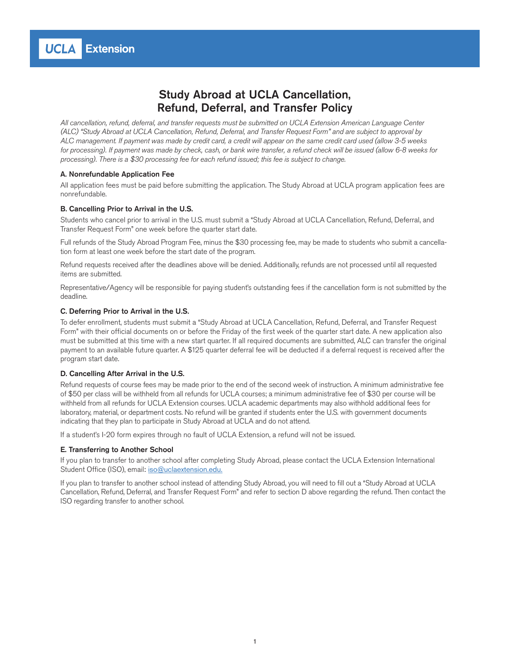## Study Abroad at UCLA Cancellation, Refund, Deferral, and Transfer Policy

*All cancellation, refund, deferral, and transfer requests must be submitted on UCLA Extension American Language Center (ALC) "Study Abroad at UCLA Cancellation, Refund, Deferral, and Transfer Request Form" and are subject to approval by ALC management. If payment was made by credit card, a credit will appear on the same credit card used (allow 3-5 weeks for processing). If payment was made by check, cash, or bank wire transfer, a refund check will be issued (allow 6-8 weeks for processing). There is a \$30 processing fee for each refund issued; this fee is subject to change.*

### A. Nonrefundable Application Fee

All application fees must be paid before submitting the application. The Study Abroad at UCLA program application fees are nonrefundable.

### B. Cancelling Prior to Arrival in the U.S.

Students who cancel prior to arrival in the U.S. must submit a "Study Abroad at UCLA Cancellation, Refund, Deferral, and Transfer Request Form" one week before the quarter start date.

Full refunds of the Study Abroad Program Fee, minus the \$30 processing fee, may be made to students who submit a cancellation form at least one week before the start date of the program.

Refund requests received after the deadlines above will be denied. Additionally, refunds are not processed until all requested items are submitted.

Representative/Agency will be responsible for paying student's outstanding fees if the cancellation form is not submitted by the deadline.

### C. Deferring Prior to Arrival in the U.S.

To defer enrollment, students must submit a "Study Abroad at UCLA Cancellation, Refund, Deferral, and Transfer Request Form" with their official documents on or before the Friday of the first week of the quarter start date. A new application also must be submitted at this time with a new start quarter. If all required documents are submitted, ALC can transfer the original payment to an available future quarter. A \$125 quarter deferral fee will be deducted if a deferral request is received after the program start date.

#### D. Cancelling After Arrival in the U.S.

Refund requests of course fees may be made prior to the end of the second week of instruction. A minimum administrative fee of \$50 per class will be withheld from all refunds for UCLA courses; a minimum administrative fee of \$30 per course will be withheld from all refunds for UCLA Extension courses. UCLA academic departments may also withhold additional fees for laboratory, material, or department costs. No refund will be granted if students enter the U.S. with government documents indicating that they plan to participate in Study Abroad at UCLA and do not attend.

If a student's I-20 form expires through no fault of UCLA Extension, a refund will not be issued.

### E. Transferring to Another School

If you plan to transfer to another school after completing Study Abroad, please contact the UCLA Extension International Student Office (ISO), email: [iso@uclaextension.edu](mailto:iso@uclaextension.edu).

If you plan to transfer to another school instead of attending Study Abroad, you will need to fill out a "Study Abroad at UCLA Cancellation, Refund, Deferral, and Transfer Request Form" and refer to section D above regarding the refund. Then contact the ISO regarding transfer to another school.